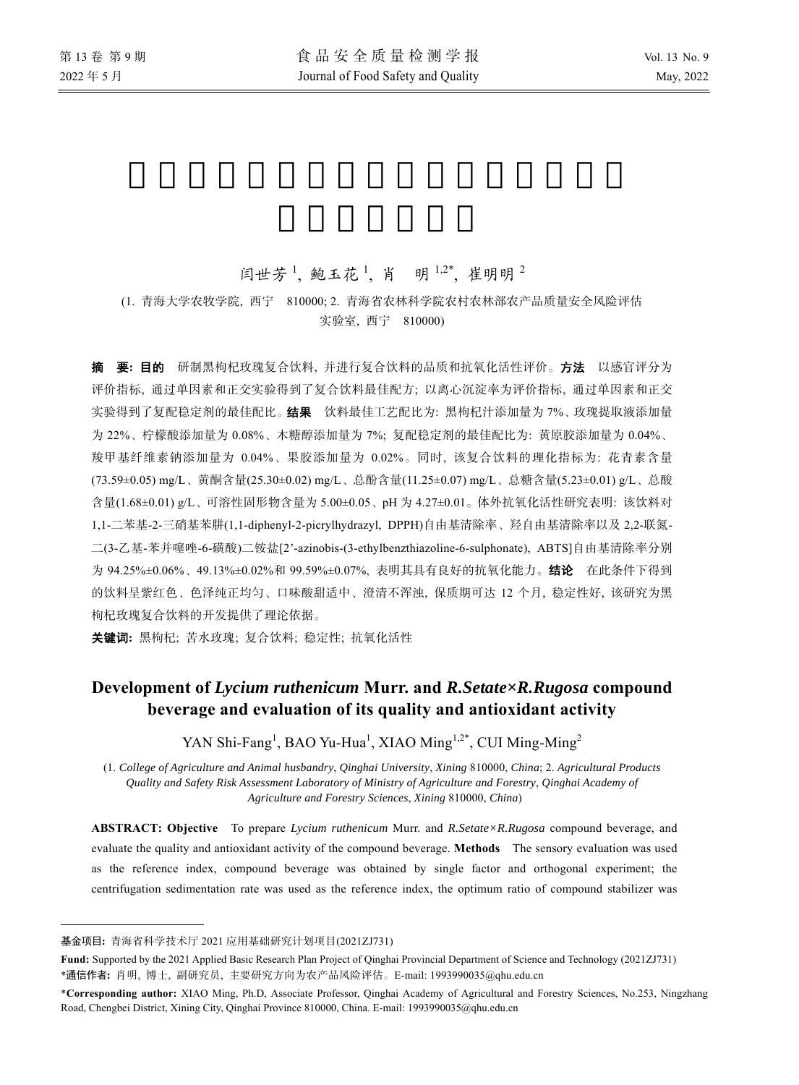# 闫世芳<sup>1</sup>, 鲍玉花<sup>1</sup>, 肖 明<sup>1,2\*</sup>, 崔明明<sup>2</sup>

## (1. 青海大学农牧学院, 西宁 810000; 2. 青海省农林科学院农村农林部农产品质量安全风险评估 实验室, 西宁 810000)

摘要**:** 目的 研制黑枸杞玫瑰复合饮料, 并进行复合饮料的品质和抗氧化活性评价。方法 以感官评分为 评价指标, 通过单因素和正交实验得到了复合饮料最佳配方; 以离心沉淀率为评价指标, 通过单因素和正交 实验得到了复配稳定剂的最佳配比。 结果 饮料最佳工艺配比为: 黑枸杞汁添加量为 7%、玫瑰提取液添加量 为 22%、柠檬酸添加量为 0.08%、木糖醇添加量为 7%; 复配稳定剂的最佳配比为: 黄原胶添加量为 0.04%、 羧甲基纤维素钠添加量为 0.04%、果胶添加量为 0.02%。同时, 该复合饮料的理化指标为: 花青素含量 (73.59±0.05) mg/L、黄酮含量(25.30±0.02) mg/L、总酚含量(11.25±0.07) mg/L、总糖含量(5.23±0.01) g/L、总酸 含量(1.68±0.01) g/L、可溶性固形物含量为 5.00±0.05、pH 为 4.27±0.01。体外抗氧化活性研究表明: 该饮料对 1,1-二苯基-2-三硝基苯肼(1,1-diphenyl-2-picrylhydrazyl, DPPH)自由基清除率、羟自由基清除率以及 2,2-联氮-二(3-乙基-苯并噻唑-6-磺酸)二铵盐[2'-azinobis-(3-ethylbenzthiazoline-6-sulphonate), ABTS]自由基清除率分别 为 94.25%±0.06%、49.13%±0.02%和 99.59%±0.07%, 表明其具有良好的抗氧化能力。结论 在此条件下得到 的饮料呈紫红色、色泽纯正均匀、口味酸甜适中、澄清不浑浊, 保质期可达 12 个月, 稳定性好, 该研究为黑 枸杞玫瑰复合饮料的开发提供了理论依据。

关键词**:** 黑枸杞; 苦水玫瑰; 复合饮料; 稳定性; 抗氧化活性

# **Development of** *Lycium ruthenicum* **Murr. and** *R.Setate×R.Rugosa* **compound beverage and evaluation of its quality and antioxidant activity**

YAN Shi-Fang<sup>1</sup>, BAO Yu-Hua<sup>1</sup>, XIAO Ming<sup>1,2\*</sup>, CUI Ming-Ming<sup>2</sup>

(1. *College of Agriculture and Animal husbandry*, *Qinghai University*, *Xining* 810000, *China*; 2. *Agricultural Products Quality and Safety Risk Assessment Laboratory of Ministry of Agriculture and Forestry*, *Qinghai Academy of Agriculture and Forestry Sciences*, *Xining* 810000, *China*)

**ABSTRACT: Objective** To prepare *Lycium ruthenicum* Murr. and *R.Setate×R.Rugosa* compound beverage, and evaluate the quality and antioxidant activity of the compound beverage. **Methods** The sensory evaluation was used as the reference index, compound beverage was obtained by single factor and orthogonal experiment; the centrifugation sedimentation rate was used as the reference index, the optimum ratio of compound stabilizer was

 $\overline{a}$ 

基金项目**:** 青海省科学技术厅 2021 应用基础研究计划项目(2021ZJ731)

**Fund:** Supported by the 2021 Applied Basic Research Plan Project of Qinghai Provincial Department of Science and Technology (2021ZJ731) \*通信作者**:** 肖明, 博士, 副研究员, 主要研究方向为农产品风险评估。E-mail: 1993990035@qhu.edu.cn

<sup>\*</sup>**Corresponding author:** XIAO Ming, Ph.D, Associate Professor, Qinghai Academy of Agricultural and Forestry Sciences, No.253, Ningzhang Road, Chengbei District, Xining City, Qinghai Province 810000, China. E-mail: 1993990035@qhu.edu.cn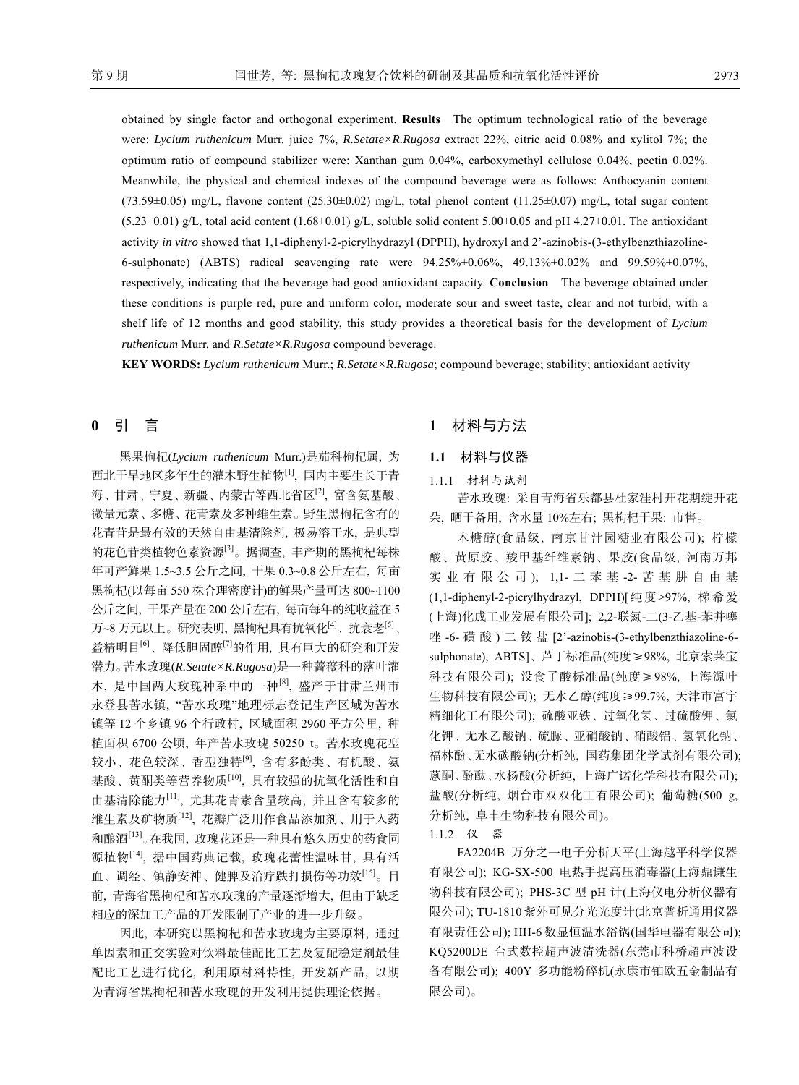obtained by single factor and orthogonal experiment. **Results** The optimum technological ratio of the beverage were: *Lycium ruthenicum* Murr. juice 7%, *R.Setate×R.Rugosa* extract 22%, citric acid 0.08% and xylitol 7%; the optimum ratio of compound stabilizer were: Xanthan gum 0.04%, carboxymethyl cellulose 0.04%, pectin 0.02%. Meanwhile, the physical and chemical indexes of the compound beverage were as follows: Anthocyanin content (73.59±0.05) mg/L, flavone content (25.30±0.02) mg/L, total phenol content (11.25±0.07) mg/L, total sugar content  $(5.23\pm0.01)$  g/L, total acid content  $(1.68\pm0.01)$  g/L, soluble solid content  $5.00\pm0.05$  and pH 4.27 $\pm0.01$ . The antioxidant activity *in vitro* showed that 1,1-diphenyl-2-picrylhydrazyl (DPPH), hydroxyl and 2'-azinobis-(3-ethylbenzthiazoline-6-sulphonate) (ABTS) radical scavenging rate were 94.25%±0.06%, 49.13%±0.02% and 99.59%±0.07%, respectively, indicating that the beverage had good antioxidant capacity. **Conclusion** The beverage obtained under these conditions is purple red, pure and uniform color, moderate sour and sweet taste, clear and not turbid, with a shelf life of 12 months and good stability, this study provides a theoretical basis for the development of *Lycium ruthenicum* Murr. and *R.Setate×R.Rugosa* compound beverage.

**KEY WORDS:** *Lycium ruthenicum* Murr.; *R.Setate×R.Rugosa*; compound beverage; stability; antioxidant activity

## **0** 引 言

黑果枸杞(*Lycium ruthenicum* Murr.)是茄科枸杞属, 为 西北干旱地区多年生的灌木野生植物[1], 国内主要生长于青 海、甘肃、宁夏、新疆、内蒙古等西北省区<sup>[2]</sup>, 富含氨基酸、 微量元素、多糖、花青素及多种维生素。野生黑枸杞含有的 花青苷是最有效的天然自由基清除剂, 极易溶于水, 是典型 的花色苷类植物色素资源[3]。据调查, 丰产期的黑枸杞每株 年可产鲜果 1.5~3.5 公斤之间, 干果 0.3~0.8 公斤左右, 每亩 黑枸杞(以每亩 550 株合理密度计)的鲜果产量可达 800~1100 公斤之间, 干果产量在 200 公斤左右, 每亩每年的纯收益在 5 万~8 万元以上。研究表明, 黑枸杞具有抗氧化[4]、抗衰老[5]、 益精明目[6]、降低胆固醇[7]的作用, 具有巨大的研究和开发 潜力。苦水玫瑰(*R.Setate×R.Rugosa*)是一种蔷薇科的落叶灌 木, 是中国两大玫瑰种系中的一种[8], 盛产于甘肃兰州市 永登县苦水镇, "苦水玫瑰"地理标志登记生产区域为苦水 镇等 12 个乡镇 96 个行政村, 区域面积 2960 平方公里, 种 植面积 6700 公顷, 年产苦水玫瑰 50250 t。苦水玫瑰花型 较小、花色较深、香型独特<sup>[9]</sup>, 含有多酚类、有机酸、氨 基酸、黄酮类等营养物质[10], 具有较强的抗氧化活性和自 由基清除能力[11], 尤其花青素含量较高, 并且含有较多的 维生素及矿物质[12], 花瓣广泛用作食品添加剂、用于入药 和酿酒[13]。在我国, 玫瑰花还是一种具有悠久历史的药食同 源植物<sup>[14]</sup>, 据中国药典记载, 玫瑰花蕾性温味甘, 具有活 血、调经、镇静安神、健脾及治疗跌打损伤等功效[15]。目 前, 青海省黑枸杞和苦水玫瑰的产量逐渐增大, 但由于缺乏 相应的深加工产品的开发限制了产业的进一步升级。

因此, 本研究以黑枸杞和苦水玫瑰为主要原料, 通过 单因素和正交实验对饮料最佳配比工艺及复配稳定剂最佳 配比工艺进行优化, 利用原材料特性, 开发新产品, 以期 为青海省黑枸杞和苦水玫瑰的开发利用提供理论依据。

## **1** 材料与方法

## **1.1** 材料与仪器 1.1.1 材料与试剂

苦水玫瑰: 采自青海省乐都县杜家洼村开花期绽开花 朵, 晒干备用, 含水量 10%左右; 黑枸杞干果: 市售。

木糖醇(食品级, 南京甘汁园糖业有限公司); 柠檬 酸、黄原胶、羧甲基纤维素钠、果胶(食品级, 河南万邦 实业有限公司 ); 1,1- 二苯基 -2- 苦基肼自由基 (1,1-diphenyl-2-picrylhydrazyl, DPPH)[纯度>97%, 梯希爱 (上海)化成工业发展有限公司]; 2,2-联氮-二(3-乙基-苯并噻 唑 -6- 磺 酸 ) 二铵盐 [2'-azinobis-(3-ethylbenzthiazoline-6 sulphonate), ABTS]、芦丁标准品(纯度≥98%, 北京索莱宝 科技有限公司); 没食子酸标准品(纯度≥98%, 上海源叶 生物科技有限公司); 无水乙醇(纯度≥99.7%, 天津市富宇 精细化工有限公司); 硫酸亚铁、过氧化氢、过硫酸钾、氯 化钾、无水乙酸钠、硫脲、亚硝酸钠、硝酸铝、氢氧化钠、 福林酚、无水碳酸钠(分析纯, 国药集团化学试剂有限公司); 蒽酮、酚酞、水杨酸(分析纯, 上海广诺化学科技有限公司); 盐酸(分析纯, 烟台市双双化工有限公司); 葡萄糖(500 g, 分析纯, 阜丰生物科技有限公司)。

1.1.2 仪 器

FA2204B 万分之一电子分析天平(上海越平科学仪器 有限公司); KG-SX-500 电热手提高压消毒器(上海鼎谦生 物科技有限公司); PHS-3C 型 pH 计(上海仪电分析仪器有 限公司); TU-1810紫外可见分光光度计(北京普析通用仪器 有限责任公司); HH-6 数显恒温水浴锅(国华电器有限公司); KQ5200DE 台式数控超声波清洗器(东莞市科桥超声波设 备有限公司); 400Y 多功能粉碎机(永康市铂欧五金制品有 限公司)。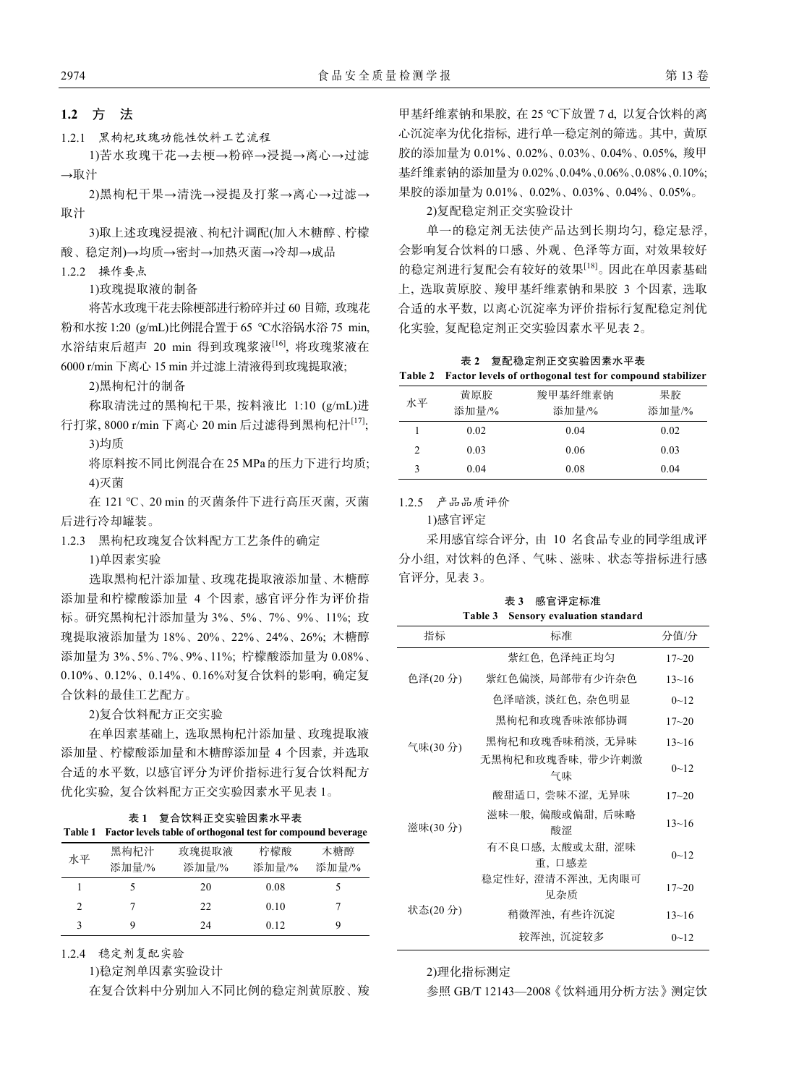## **1.2** 方 法

1.2.1 黑枸杞玫瑰功能性饮料工艺流程

1)苦水玫瑰干花→去梗→粉碎→浸提→离心→过滤 →取汁

2)黑枸杞干果→清洗→浸提及打浆→离心→过滤→ 取汁

3)取上述玫瑰浸提液、枸杞汁调配(加入木糖醇、柠檬 酸、稳定剂)→均质→密封→加热灭菌→冷却→成品

1.2.2 操作要点

1)玫瑰提取液的制备

将苦水玫瑰干花去除梗部进行粉碎并过 60 目筛, 玫瑰花 粉和水按 1:20 (g/mL)比例混合置于 65 ℃水浴锅水浴 75 min, 水浴结束后超声 20 min 得到玫瑰浆液<sup>[16]</sup>, 将玫瑰浆液在 6000 r/min 下离心 15 min 并过滤上清液得到玫瑰提取液;

2)黑枸杞汁的制备

称取清洗过的黑枸杞干果, 按料液比 1:10 (g/mL)进 行打浆, 8000 r/min 下离心 20 min 后过滤得到黑枸杞汁[17]; 3)均质

将原料按不同比例混合在 25 MPa 的压力下进行均质; 4)灭菌

在 121 ℃、20 min 的灭菌条件下进行高压灭菌, 灭菌 后进行冷却罐装。

1.2.3 黑枸杞玫瑰复合饮料配方工艺条件的确定

1)单因素实验

选取黑枸杞汁添加量、玫瑰花提取液添加量、木糖醇 添加量和柠檬酸添加量 4 个因素, 感官评分作为评价指 标。研究黑枸杞汁添加量为 3%、5%、7%、9%、11%; 玫 瑰提取液添加量为 18%、20%、22%、24%、26%; 木糖醇 添加量为 3%、5%、7%、9%、11%; 柠檬酸添加量为 0.08%、 0.10%、0.12%、0.14%、0.16%对复合饮料的影响, 确定复 合饮料的最佳工艺配方。

2)复合饮料配方正交实验

在单因素基础上, 选取黑枸杞汁添加量、玫瑰提取液 添加量、柠檬酸添加量和木糖醇添加量 4 个因素, 并选取 合适的水平数, 以感官评分为评价指标进行复合饮料配方 优化实验, 复合饮料配方正交实验因素水平见表 1。

| 表 1 复合饮料正交实验因素水平表 |  |
|-------------------|--|
| .                 |  |

| <b>Table 1</b> |       | Factor levels table of orthogonal test for compound beverage |       |       |
|----------------|-------|--------------------------------------------------------------|-------|-------|
| 水平             | 黑枸杞汁  | 玫瑰提取液                                                        | 柠檬酸   | 木糖醇   |
|                | 添加量/% | 添加量/%                                                        | 添加量/% | 添加量/% |
|                |       | 20                                                           | 0.08  |       |
| $\mathcal{L}$  |       | 22                                                           | 0.10  |       |
| 3              | Q     | 24                                                           | 0.12  |       |

1.2.4 稳定剂复配实验

1)稳定剂单因素实验设计

在复合饮料中分别加入不同比例的稳定剂黄原胶、羧

甲基纤维素钠和果胶, 在 25 ℃下放置 7 d, 以复合饮料的离 心沉淀率为优化指标, 进行单一稳定剂的筛选。其中, 黄原 胶的添加量为 0.01%、0.02%、0.03%、0.04%、0.05%, 羧甲 基纤维素钠的添加量为 0.02%、0.04%、0.06%、0.08%、0.10%; 果胶的添加量为 0.01%、0.02%、0.03%、0.04%、0.05%。

2)复配稳定剂正交实验设计

单一的稳定剂无法使产品达到长期均匀, 稳定悬浮, 会影响复合饮料的口感、外观、色泽等方面, 对效果较好 的稳定剂进行复配会有较好的效果[18]。因此在单因素基础 上, 选取黄原胶、羧甲基纤维素钠和果胶 3 个因素, 选取 合适的水平数, 以离心沉淀率为评价指标行复配稳定剂优 化实验, 复配稳定剂正交实验因素水平见表 2。

|  | 表 2 复配稳定剂正交实验因素水平表                                        |
|--|-----------------------------------------------------------|
|  | Table 2 Factor levels of orthogonal test for compound sta |

| 水平 | 黄原胶   | 羧甲基纤维素钠 | 果胶    |
|----|-------|---------|-------|
|    | 添加量/% | 添加量/%   | 添加量/% |
|    | 0.02  | 0.04    | 0.02  |
| 2  | 0.03  | 0.06    | 0.03  |
|    | 0.04  | 0.08    | 0.04  |

1.2.5 产品品质评价

1)感官评定

采用感官综合评分, 由 10 名食品专业的同学组成评 分小组, 对饮料的色泽、气味、滋味、状态等指标进行感 官评分, 见表 3。

表 **3** 感官评定标准 **Table 3 Sensory evaluation standard** 

| 指标      | 标准                        | 分值/分      |
|---------|---------------------------|-----------|
|         | 紫红色,色泽纯正均匀                | $17 - 20$ |
| 色泽(20分) | 紫红色偏淡,局部带有少许杂色            | $13 - 16$ |
|         | 色泽暗淡,淡红色,杂色明显             | $0 - 12$  |
|         | 黑枸杞和玫瑰香味浓郁协调              | $17 - 20$ |
| 气味(30分) | 黑枸杞和玫瑰香味稍淡,无异味            | $13 - 16$ |
|         | 无黑枸杞和玫瑰香味, 带少许刺激<br>气味    | $0 - 12$  |
|         | 酸甜适口,尝味不涩,无异味             | $17 - 20$ |
| 滋味(30分) | 滋味一般, 偏酸或偏甜, 后味略<br>酸涩    | $13 - 16$ |
|         | 有不良口感, 太酸或太甜, 涩味<br>重,口感差 | $0 - 12$  |
|         | 稳定性好, 澄清不浑浊, 无肉眼可<br>见杂质  | $17 - 20$ |
| 状态(20分) | 稍微浑浊,有些许沉淀                | $13 - 16$ |
|         | 较浑浊、沉淀较多                  | $0 - 12$  |

2)理化指标测定

参照 GB/T 12143—2008《饮料通用分析方法》测定饮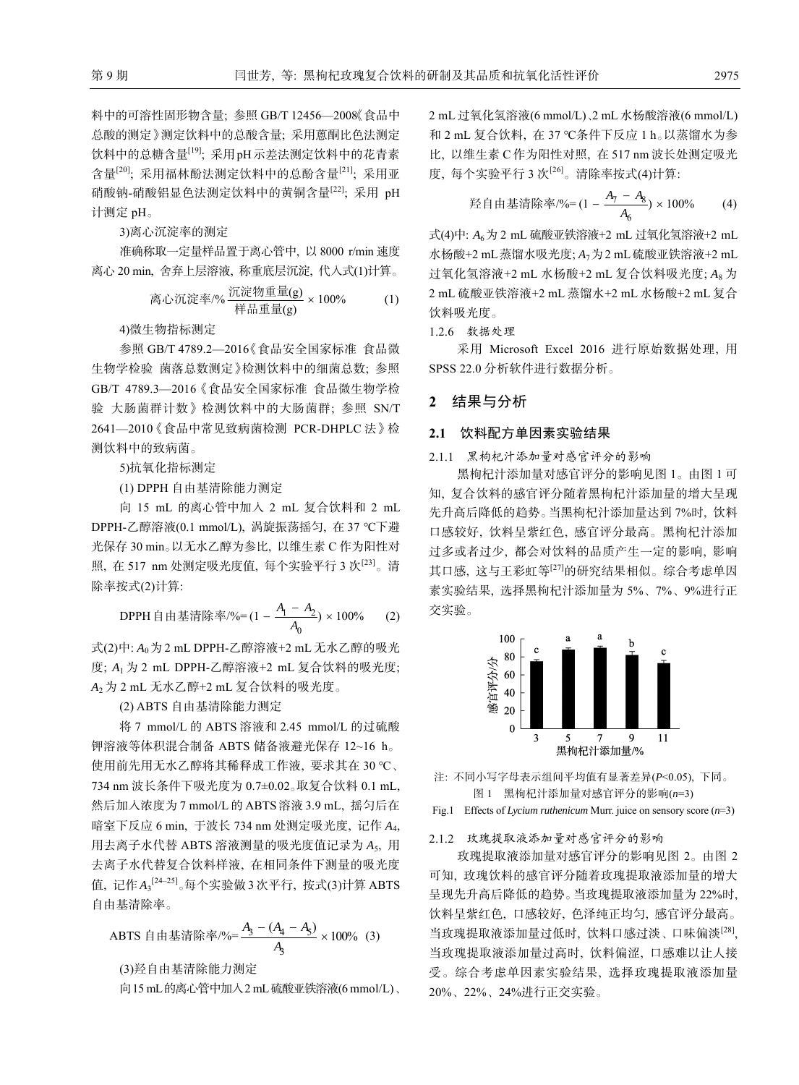料中的可溶性固形物含量; 参照 GB/T 12456—2008《食品中 总酸的测定》测定饮料中的总酸含量; 采用蒽酮比色法测定 饮料中的总糖含量<sup>[19]</sup>; 采用 pH 示差法测定饮料中的花青素 含量[20]; 采用福林酚法测定饮料中的总酚含量[21]; 采用亚 硝酸钠-硝酸铝显色法测定饮料中的黄铜含量[22]; 采用 pH 计测定 pH。

3)离心沉淀率的测定

准确称取一定量样品置于离心管中, 以 8000 r/min 速度 离心 20 min, 舍弃上层溶液, 称重底层沉淀, 代入式(1)计算。

高心流定率/% 灰定物重量(g) × 100% (1) \n
$$
\frac{\mathbb{E}(\mathbf{g})}{\mathbf{g} + \mathbf{h}} \times 100\%
$$

4)微生物指标测定

参照 GB/T 4789.2—2016《食品安全国家标准 食品微 生物学检验 菌落总数测定》检测饮料中的细菌总数; 参照 GB/T 4789.3—2016《食品安全国家标准 食品微生物学检 验 大肠菌群计数》检测饮料中的大肠菌群; 参照 SN/T 2641—2010《食品中常见致病菌检测 PCR-DHPLC 法》检 测饮料中的致病菌。

5)抗氧化指标测定

(1) DPPH 自由基清除能力测定

向 15 mL 的离心管中加入 2 mL 复合饮料和 2 mL DPPH-乙醇溶液(0.1 mmol/L), 涡旋振荡摇匀, 在 37 ℃下避 光保存 30 min。以无水乙醇为参比, 以维生素 C 作为阳性对 照, 在 517 nm 处测定吸光度值, 每个实验平行 3 次[23]。清 除率按式(2)计算:

DPPH 自由基清除率/%= $(1 - \frac{A_1 - A_2}{4})$ 0  $(1 - \frac{A_1 - A_2}{A_0}) \times 100\%$  (2)

式(2)中: *A*0为 2 mL DPPH-乙醇溶液+2 mL 无水乙醇的吸光 度; *A*<sup>1</sup> 为 2 mL DPPH-乙醇溶液+2 mL 复合饮料的吸光度; *A*<sup>2</sup> 为 2 mL 无水乙醇+2 mL 复合饮料的吸光度。

(2) ABTS 自由基清除能力测定

将 7 mmol/L 的 ABTS 溶液和 2.45 mmol/L 的过硫酸 钾溶液等体积混合制备 ABTS 储备液避光保存 12~16 h。 使用前先用无水乙醇将其稀释成工作液, 要求其在 30 ℃、 734 nm 波长条件下吸光度为 0.7±0.02。取复合饮料 0.1 mL, 然后加入浓度为 7 mmol/L 的 ABTS 溶液 3.9 mL, 摇匀后在 暗室下反应 6 min, 于波长 734 nm 处测定吸光度, 记作 *A*4, 用去离子水代替 ABTS 溶液测量的吸光度值记录为 *A*5, 用 去离子水代替复合饮料样液, 在相同条件下测量的吸光度 值, 记作A3<sup>[24–25]</sup>。每个实验做3次平行, 按式(3)计算ABTS 自由基清除率。

ABTS 自由基清除率/%=
$$
\frac{A_3 - (A_4 - A_5)}{A_3} \times 100\%
$$
 (3)  
(3)発自由基清除能力測定

向15 mL的离心管中加入2 mL硫酸亚铁溶液(6 mmol/L)、

2 mL 过氧化氢溶液(6 mmol/L)、2 mL 水杨酸溶液(6 mmol/L) 和 2 mL 复合饮料, 在 37 ℃条件下反应 1 h。以蒸馏水为参 比, 以维生素 C 作为阳性对照, 在 517 nm 波长处测定吸光 度, 每个实验平行 3 次<sup>[26]</sup>。清除率按式(4)计算:

$$
\frac{1}{2} \text{,} \frac{1}{2} \text{,} \frac{1}{2} \text{,} \frac{1}{2} \text{,} \frac{1}{2} \text{,} \frac{1}{2} \text{,} \frac{1}{2} \text{,} \frac{1}{2} \text{,} \frac{1}{2} \text{,} \frac{1}{2} \text{,} \frac{1}{2} \text{,} \frac{1}{2} \text{,} \frac{1}{2} \text{,} \frac{1}{2} \text{,} \frac{1}{2} \text{,} \frac{1}{2} \text{,} \frac{1}{2} \text{,} \frac{1}{2} \text{,} \frac{1}{2} \text{,} \frac{1}{2} \text{,} \frac{1}{2} \text{,} \frac{1}{2} \text{,} \frac{1}{2} \text{,} \frac{1}{2} \text{,} \frac{1}{2} \text{,} \frac{1}{2} \text{,} \frac{1}{2} \text{,} \frac{1}{2} \text{,} \frac{1}{2} \text{,} \frac{1}{2} \text{,} \frac{1}{2} \text{,} \frac{1}{2} \text{,} \frac{1}{2} \text{,} \frac{1}{2} \text{,} \frac{1}{2} \text{,} \frac{1}{2} \text{,} \frac{1}{2} \text{,} \frac{1}{2} \text{,} \frac{1}{2} \text{,} \frac{1}{2} \text{,} \frac{1}{2} \text{,} \frac{1}{2} \text{,} \frac{1}{2} \text{,} \frac{1}{2} \text{,} \frac{1}{2} \text{,} \frac{1}{2} \text{,} \frac{1}{2} \text{,} \frac{1}{2} \text{,} \frac{1}{2} \text{,} \frac{1}{2} \text{,} \frac{1}{2} \text{,} \frac{1}{2} \text{,} \frac{1}{2} \text{,} \frac{1}{2} \text{,} \frac{1}{2} \text{,} \frac{1}{2} \text{,} \frac{1}{2} \text{,} \frac{1}{2} \text{,} \frac{1}{2} \text{,} \frac{1}{2} \text{,} \frac{1}{2} \text{,} \frac{1}{2} \text{,} \frac{1}{2} \text{,} \frac{
$$

式(4)中:  $A_6$  为 2 mL 硫酸亚铁溶液+2 mL 过氧化氢溶液+2 mL 水杨酸+2 mL蒸馏水吸光度; *A*7为2 mL硫酸亚铁溶液+2 mL 过氧化氢溶液+2 mL 水杨酸+2 mL 复合饮料吸光度; *A*<sup>8</sup> 为 2 mL 硫酸亚铁溶液+2 mL 蒸馏水+2 mL 水杨酸+2 mL 复合 饮料吸光度。

1.2.6 数据处理

采用 Microsoft Excel 2016 进行原始数据处理, 用 SPSS 22.0 分析软件进行数据分析。

## **2** 结果与分析

### **2.1** 饮料配方单因素实验结果

2.1.1 黑枸杞汁添加量对感官评分的影响

黑枸杞汁添加量对感官评分的影响见图 1。由图 1 可 知, 复合饮料的感官评分随着黑枸杞汁添加量的增大呈现 先升高后降低的趋势。当黑枸杞汁添加量达到 7%时, 饮料 口感较好, 饮料呈紫红色, 感官评分最高。黑枸杞汁添加 过多或者过少, 都会对饮料的品质产生一定的影响, 影响 其口感, 这与王彩虹等[27]的研究结果相似。综合考虑单因 素实验结果, 选择黑枸杞汁添加量为 5%、7%、9%进行正 交实验。



注: 不同小写字母表示组间平均值有显著差异(*P*<0.05), 下同。 图 1 黑枸杞汁添加量对感官评分的影响(*n*=3)

Fig.1 Effects of *Lycium ruthenicum* Murr. juice on sensory score (*n*=3)

### 2.1.2 玫瑰提取液添加量对感官评分的影响

玫瑰提取液添加量对感官评分的影响见图 2。由图 2 可知, 玫瑰饮料的感官评分随着玫瑰提取液添加量的增大 呈现先升高后降低的趋势。当玫瑰提取液添加量为 22%时, 饮料呈紫红色, 口感较好, 色泽纯正均匀, 感官评分最高。 当玫瑰提取液添加量过低时, 饮料口感过淡、口味偏淡[28], 当玫瑰提取液添加量过高时, 饮料偏涩, 口感难以让人接 受。综合考虑单因素实验结果, 选择玫瑰提取液添加量 20%、22%、24%进行正交实验。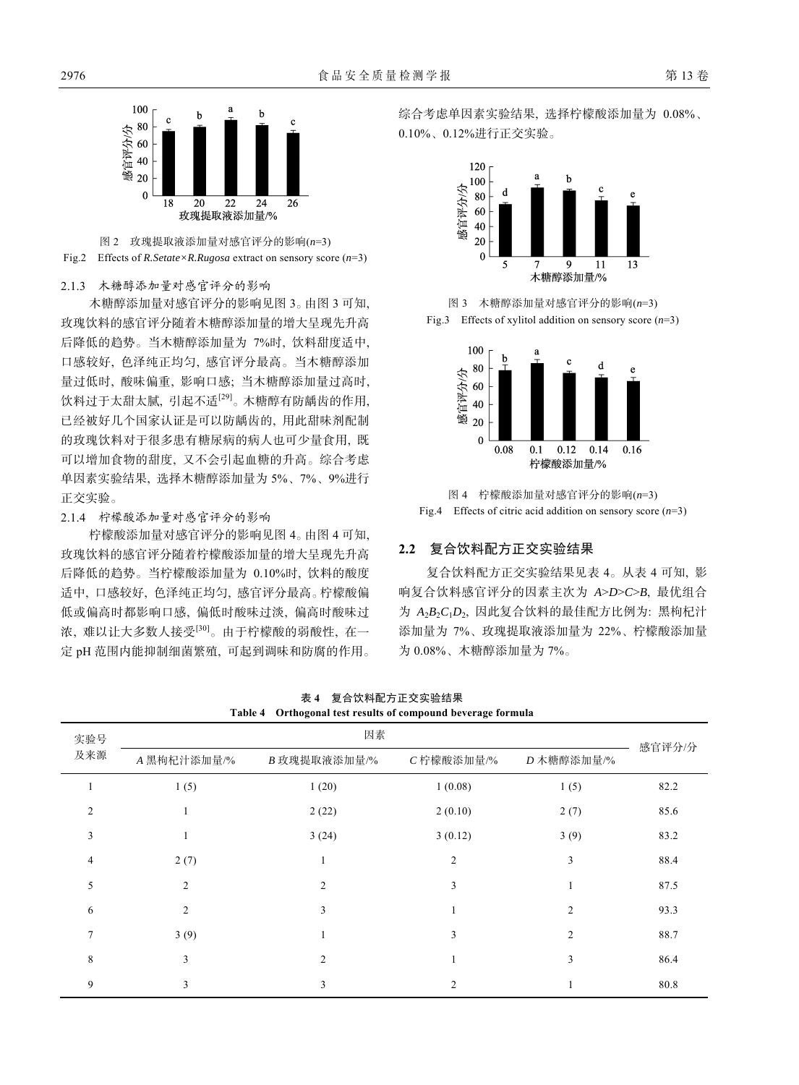



#### 2.1.3 木糖醇添加量对感官评分的影响

木糖醇添加量对感官评分的影响见图 3。由图 3 可知, 玫瑰饮料的感官评分随着木糖醇添加量的增大呈现先升高 后降低的趋势。当木糖醇添加量为 7%时, 饮料甜度适中, 口感较好, 色泽纯正均匀, 感官评分最高。当木糖醇添加 量过低时, 酸味偏重, 影响口感; 当木糖醇添加量过高时, 饮料过于太甜太腻, 引起不适[29]。木糖醇有防龋齿的作用, 已经被好几个国家认证是可以防龋齿的, 用此甜味剂配制 的玫瑰饮料对于很多患有糖尿病的病人也可少量食用, 既 可以增加食物的甜度, 又不会引起血糖的升高。综合考虑 单因素实验结果, 选择木糖醇添加量为 5%、7%、9%进行 正交实验。

2.1.4 柠檬酸添加量对感官评分的影响

柠檬酸添加量对感官评分的影响见图 4。由图 4 可知, 玫瑰饮料的感官评分随着柠檬酸添加量的增大呈现先升高 后降低的趋势。当柠檬酸添加量为 0.10%时, 饮料的酸度 适中, 口感较好, 色泽纯正均匀, 感官评分最高。柠檬酸偏 低或偏高时都影响口感, 偏低时酸味过淡, 偏高时酸味过 浓, 难以让大多数人接受[30]。由于柠檬酸的弱酸性, 在一 定 pH 范围内能抑制细菌繁殖, 可起到调味和防腐的作用。 综合考虑单因素实验结果, 选择柠檬酸添加量为 0.08%、 0.10%、0.12%进行正交实验。



图 3 木糖醇添加量对感官评分的影响(*n*=3) Fig.3 Effects of xylitol addition on sensory score  $(n=3)$ 



图 4 柠檬酸添加量对感官评分的影响(*n*=3) Fig.4 Effects of citric acid addition on sensory score (*n*=3)

## **2.2** 复合饮料配方正交实验结果

复合饮料配方正交实验结果见表 4。从表 4 可知, 影 响复合饮料感官评分的因素主次为 *A*>*D*>*C*>*B*, 最优组合 为 *A*2*B*2*C*1*D*2, 因此复合饮料的最佳配方比例为: 黑枸杞汁 添加量为 7%、玫瑰提取液添加量为 22%、柠檬酸添加量 为 0.08%、木糖醇添加量为 7%。

|                | Table 4        | Orthogonal test results of compound beverage formula |                |                |        |
|----------------|----------------|------------------------------------------------------|----------------|----------------|--------|
| 实验号            | 因素             |                                                      |                |                |        |
| 及来源            | A 黑枸杞汁添加量/%    | B 玫瑰提取液添加量/%                                         | C柠檬酸添加量/%      | D 木糖醇添加量/%     | 感官评分/分 |
|                | 1(5)           | 1(20)                                                | 1(0.08)        | 1(5)           | 82.2   |
| $\overline{2}$ | 1              | 2(22)                                                | 2(0.10)        | 2(7)           | 85.6   |
| 3              |                | 3(24)                                                | 3(0.12)        | 3(9)           | 83.2   |
| $\overline{4}$ | 2(7)           | 1                                                    | $\overline{2}$ | 3              | 88.4   |
| 5              | $\overline{c}$ | 2                                                    | 3              |                | 87.5   |
| 6              | $\overline{c}$ | 3                                                    | 1              | $\overline{c}$ | 93.3   |
| $\overline{7}$ | 3(9)           |                                                      | 3              | $\overline{c}$ | 88.7   |
| 8              | 3              | $\overline{c}$                                       |                | 3              | 86.4   |
| 9              | 3              | 3                                                    | $\overline{c}$ |                | 80.8   |

表 **4** 复合饮料配方正交实验结果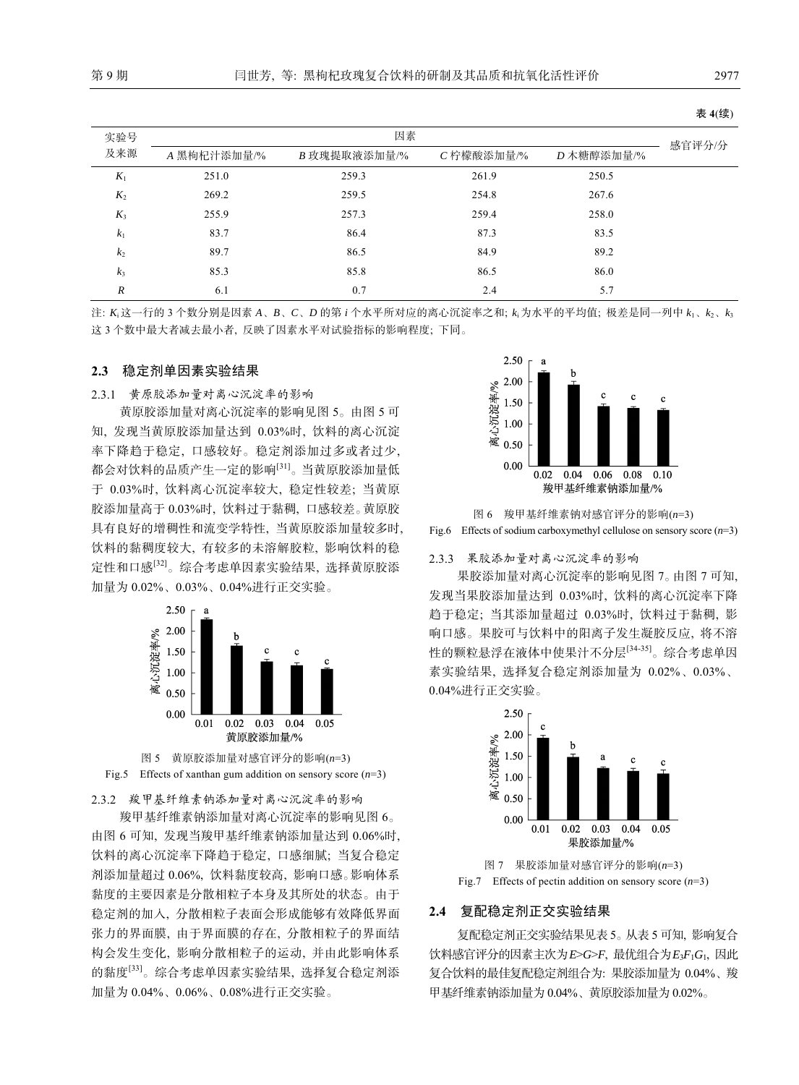|                |             |              |           |            | 表 4(续) |
|----------------|-------------|--------------|-----------|------------|--------|
| 实验号            |             | 因素           |           |            |        |
| 及来源            | A 黑枸杞汁添加量/% | B 玫瑰提取液添加量/% | C柠檬酸添加量/% | D 木糖醇添加量/% | 感官评分/分 |
| $K_1$          | 251.0       | 259.3        | 261.9     | 250.5      |        |
| $K_2$          | 269.2       | 259.5        | 254.8     | 267.6      |        |
| $K_3$          | 255.9       | 257.3        | 259.4     | 258.0      |        |
| $k_1$          | 83.7        | 86.4         | 87.3      | 83.5       |        |
| k <sub>2</sub> | 89.7        | 86.5         | 84.9      | 89.2       |        |
| $k_3$          | 85.3        | 85.8         | 86.5      | 86.0       |        |
| R              | 6.1         | 0.7          | 2.4       | 5.7        |        |

注: *K*<sup>i</sup> 这一行的 3 个数分别是因素 *A*、*B*、*C*、*D* 的第 *i* 个水平所对应的离心沉淀率之和; *k*<sup>i</sup> 为水平的平均值; 极差是同一列中 *k*1、*k*2、*k*<sup>3</sup> 这 3 个数中最大者减去最小者, 反映了因素水平对试验指标的影响程度; 下同。

#### **2.3** 稳定剂单因素实验结果

2.3.1 黄原胶添加量对离心沉淀率的影响

黄原胶添加量对离心沉淀率的影响见图 5。由图 5 可 知, 发现当黄原胶添加量达到 0.03%时, 饮料的离心沉淀 率下降趋于稳定, 口感较好。稳定剂添加过多或者过少, 都会对饮料的品质产生一定的影响[31]。当黄原胶添加量低 于 0.03%时, 饮料离心沉淀率较大, 稳定性较差; 当黄原 胶添加量高于 0.03%时, 饮料过于黏稠, 口感较差。黄原胶 具有良好的增稠性和流变学特性, 当黄原胶添加量较多时, 饮料的黏稠度较大, 有较多的未溶解胶粒, 影响饮料的稳 定性和口感[32]。综合考虑单因素实验结果, 选择黄原胶添 加量为 0.02%、0.03%、0.04%进行正交实验。





2.3.2 羧甲基纤维素钠添加量对离心沉淀率的影响

羧甲基纤维素钠添加量对离心沉淀率的影响见图 6。 由图 6 可知, 发现当羧甲基纤维素钠添加量达到 0.06%时, 饮料的离心沉淀率下降趋于稳定, 口感细腻; 当复合稳定 剂添加量超过 0.06%, 饮料黏度较高, 影响口感。影响体系 黏度的主要因素是分散相粒子本身及其所处的状态。由于 稳定剂的加入, 分散相粒子表面会形成能够有效降低界面 张力的界面膜, 由于界面膜的存在, 分散相粒子的界面结 构会发生变化, 影响分散相粒子的运动, 并由此影响体系 的黏度[33]。综合考虑单因素实验结果, 选择复合稳定剂添 加量为 0.04%、0.06%、0.08%进行正交实验。



图 6 羧甲基纤维素钠对感官评分的影响(*n*=3) Fig.6 Effects of sodium carboxymethyl cellulose on sensory score (*n*=3)

#### 2.3.3 果胶添加量对离心沉淀率的影响

果胶添加量对离心沉淀率的影响见图 7。由图 7 可知, 发现当果胶添加量达到 0.03%时, 饮料的离心沉淀率下降 趋于稳定; 当其添加量超过 0.03%时, 饮料过于黏稠, 影 响口感。果胶可与饮料中的阳离子发生凝胶反应, 将不溶 性的颗粒悬浮在液体中使果汁不分层[34-35]。综合考虑单因 素实验结果, 选择复合稳定剂添加量为 0.02%、0.03%、 0.04%进行正交实验。



图 7 果胶添加量对感官评分的影响(*n*=3) Fig.7 Effects of pectin addition on sensory score  $(n=3)$ 

#### **2.4** 复配稳定剂正交实验结果

复配稳定剂正交实验结果见表 5。从表 5 可知, 影响复合 饮料感官评分的因素主次为*E*>*G*>*F*, 最优组合为*E*3*F*1*G*1, 因此 复合饮料的最佳复配稳定剂组合为: 果胶添加量为 0.04%、羧 甲基纤维素钠添加量为 0.04%、黄原胶添加量为 0.02%。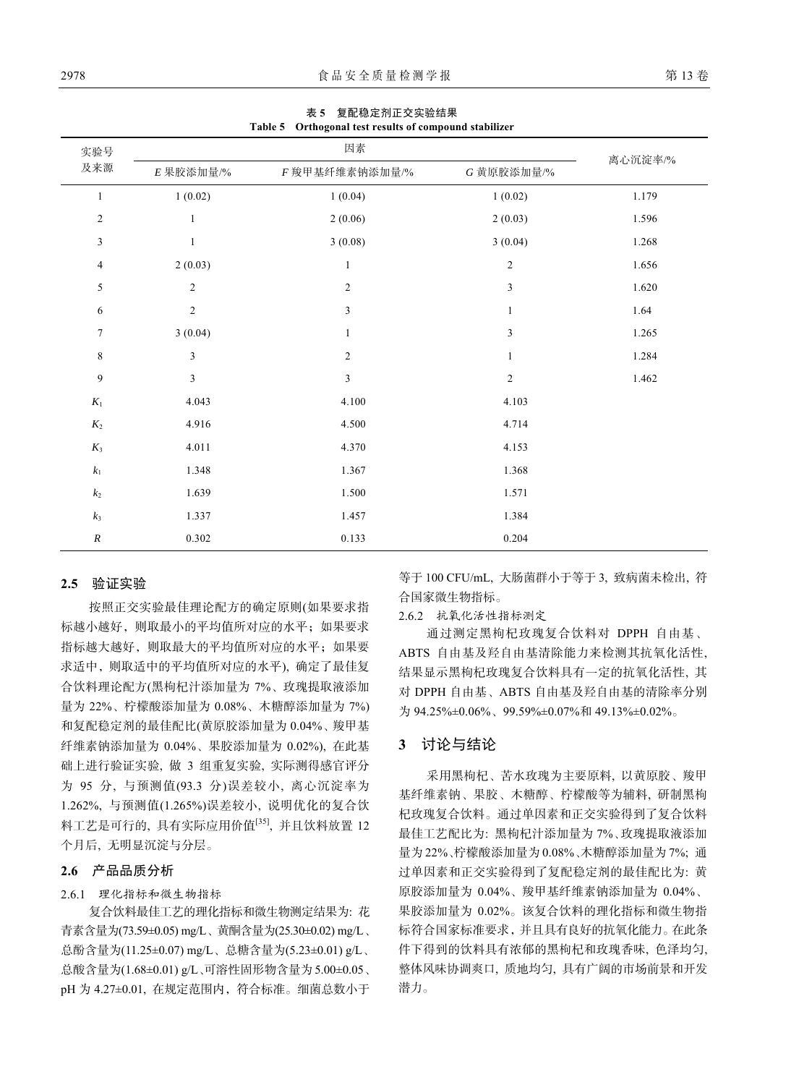| <b>Table 3</b> Orthogonal test results of compound stablizer |                |                |               |         |  |
|--------------------------------------------------------------|----------------|----------------|---------------|---------|--|
| 实验号                                                          |                | 因素             |               |         |  |
| 及来源                                                          | $E$ 果胶添加量/%    | F 羧甲基纤维素钠添加量/% | G 黄原胶添加量/%    | 离心沉淀率/% |  |
| $\mathbf{1}$                                                 | 1(0.02)        | 1(0.04)        | 1(0.02)       | 1.179   |  |
| $\overline{c}$                                               | $\mathbf{1}$   | 2(0.06)        | 2(0.03)       | 1.596   |  |
| 3                                                            | $\mathbf{1}$   | 3(0.08)        | 3(0.04)       | 1.268   |  |
| $\overline{4}$                                               | 2(0.03)        | $\mathbf{1}$   | $\sqrt{2}$    | 1.656   |  |
| 5                                                            | 2              | $\overline{c}$ | 3             | 1.620   |  |
| 6                                                            | $\sqrt{2}$     | 3              | $\mathbf{1}$  | 1.64    |  |
| $\tau$                                                       | 3(0.04)        | $\mathbf{1}$   | $\mathfrak z$ | 1.265   |  |
| $\,$ 8 $\,$                                                  | 3              | $\overline{c}$ | $\mathbf{1}$  | 1.284   |  |
| 9                                                            | $\mathfrak{Z}$ | 3              | 2             | 1.462   |  |
| $\mathfrak{K}_1$                                             | 4.043          | 4.100          | 4.103         |         |  |
| $K_{2}$                                                      | 4.916          | 4.500          | 4.714         |         |  |
| $K_3$                                                        | 4.011          | 4.370          | 4.153         |         |  |
| $k_{\rm l}$                                                  | 1.348          | 1.367          | 1.368         |         |  |
| $\mathfrak{k}_2$                                             | 1.639          | 1.500          | 1.571         |         |  |
| $k_3$                                                        | 1.337          | 1.457          | 1.384         |         |  |
| $\cal R$                                                     | 0.302          | 0.133          | 0.204         |         |  |

表 **5** 复配稳定剂正交实验结果 **Table 5 Orthogonal test results of compound stabilizer** 

### **2.5** 验证实验

按照正交实验最佳理论配方的确定原则(如果要求指 标越小越好,则取最小的平均值所对应的水平;如果要求 指标越大越好,则取最大的平均值所对应的水平;如果要 求适中,则取适中的平均值所对应的水平), 确定了最佳复 合饮料理论配方(黑枸杞汁添加量为 7%、玫瑰提取液添加 量为 22%、柠檬酸添加量为 0.08%、木糖醇添加量为 7%) 和复配稳定剂的最佳配比(黄原胶添加量为 0.04%、羧甲基 纤维素钠添加量为 0.04%、果胶添加量为 0.02%), 在此基 础上进行验证实验, 做 3 组重复实验, 实际测得感官评分 为 95 分, 与预测值(93.3 分)误差较小, 离心沉淀率为 1.262%, 与预测值(1.265%)误差较小, 说明优化的复合饮 料工艺是可行的, 具有实际应用价值[35], 并且饮料放置 12 个月后, 无明显沉淀与分层。

### **2.6** 产品品质分析

#### 2.6.1 理化指标和微生物指标

复合饮料最佳工艺的理化指标和微生物测定结果为: 花 青素含量为(73.59±0.05) mg/L、黄酮含量为(25.30±0.02) mg/L、 总酚含量为(11.25±0.07) mg/L、总糖含量为(5.23±0.01) g/L、 总酸含量为(1.68±0.01) g/L、可溶性固形物含量为5.00±0.05、 pH 为 4.27±0.01, 在规定范围内,符合标准。细菌总数小于 等于 100 CFU/mL, 大肠菌群小于等于 3, 致病菌未检出, 符 合国家微生物指标。

2.6.2 抗氧化活性指标测定

通过测定黑枸杞玫瑰复合饮料对 DPPH 自由基、 ABTS 自由基及羟自由基清除能力来检测其抗氧化活性, 结果显示黑枸杞玫瑰复合饮料具有一定的抗氧化活性, 其 对 DPPH 自由基、ABTS 自由基及羟自由基的清除率分别 为 94.25%±0.06%、99.59%±0.07%和 49.13%±0.02%。

#### **3** 讨论与结论

采用黑枸杞、苦水玫瑰为主要原料, 以黄原胶、羧甲 基纤维素钠、果胶、木糖醇、柠檬酸等为辅料, 研制黑枸 杞玫瑰复合饮料。通过单因素和正交实验得到了复合饮料 最佳工艺配比为: 黑枸杞汁添加量为 7%、玫瑰提取液添加 量为 22%、柠檬酸添加量为 0.08%、木糖醇添加量为 7%; 通 过单因素和正交实验得到了复配稳定剂的最佳配比为: 黄 原胶添加量为 0.04%、羧甲基纤维素钠添加量为 0.04%、 果胶添加量为 0.02%。该复合饮料的理化指标和微生物指 标符合国家标准要求,并且具有良好的抗氧化能力。在此条 件下得到的饮料具有浓郁的黑枸杞和玫瑰香味, 色泽均匀, 整体风味协调爽口, 质地均匀, 具有广阔的市场前景和开发 潜力。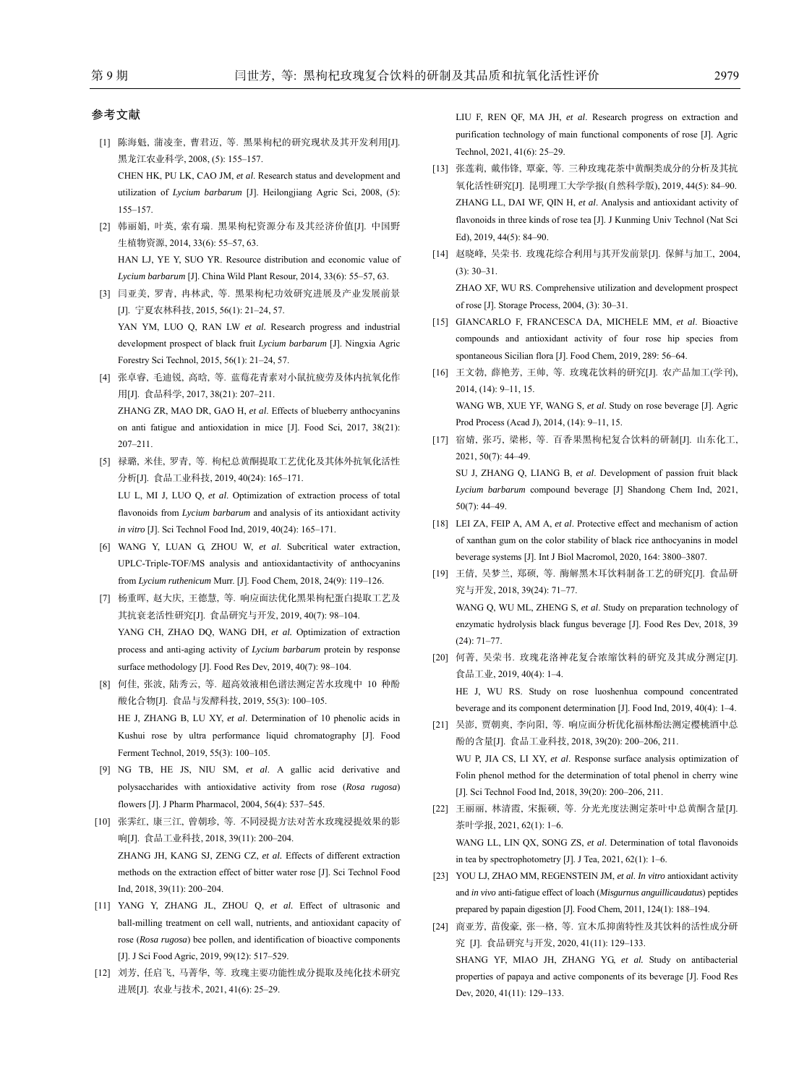#### 参考文献

[1] 陈海魁, 蒲凌奎, 曹君迈, 等. 黑果枸杞的研究现状及其开发利用[J]. 黑龙江农业科学, 2008, (5): 155-157.

CHEN HK, PU LK, CAO JM, *et al*. Research status and development and utilization of *Lycium barbarum* [J]. Heilongjiang Agric Sci, 2008, (5): 155‒157.

- [2] 韩丽娟, 叶英, 索有瑞. 黑果枸杞资源分布及其经济价值[J]. 中国野 生植物资源, 2014, 33(6): 55‒57, 63. HAN LJ, YE Y, SUO YR. Resource distribution and economic value of *Lycium barbarum* [J]. China Wild Plant Resour, 2014, 33(6): 55‒57, 63.
- [3] 闫亚美, 罗青, 冉林武, 等. 黑果枸杞功效研究进展及产业发展前景 [J]. 宁夏农林科技, 2015, 56(1): 21‒24, 57.

YAN YM, LUO Q, RAN LW et al. Research progress and industrial development prospect of black fruit *Lycium barbarum* [J]. Ningxia Agric Forestry Sci Technol, 2015, 56(1): 21-24, 57.

- [4] 张卓睿, 毛迪锐, 高晗, 等. 蓝莓花青素对小鼠抗疲劳及体内抗氧化作 用[J]. 食品科学, 2017, 38(21): 207-211. ZHANG ZR, MAO DR, GAO H, *et al*. Effects of blueberry anthocyanins on anti fatigue and antioxidation in mice [J]. Food Sci, 2017, 38(21): 207‒211.
- [5] 禄璐, 米佳, 罗青, 等. 枸杞总黄酮提取工艺优化及其体外抗氧化活性 分析[J]. 食品工业科技, 2019, 40(24): 165‒171. LU L, MI J, LUO Q, *et al*. Optimization of extraction process of total flavonoids from *Lycium barbarum* and analysis of its antioxidant activity *in vitro* [J]. Sci Technol Food Ind, 2019, 40(24): 165-171.
- [6] WANG Y, LUAN G, ZHOU W, *et al*. Subcritical water extraction, UPLC-Triple-TOF/MS analysis and antioxidantactivity of anthocyanins from *Lycium ruthenicum* Murr. [J]. Food Chem, 2018, 24(9): 119-126.
- [7] 杨重晖, 赵大庆, 王德慧, 等. 响应面法优化黑果枸杞蛋白提取工艺及 其抗衰老活性研究[J]. 食品研究与开发, 2019, 40(7): 98‒104. YANG CH, ZHAO DQ, WANG DH, et al. Optimization of extraction process and anti-aging activity of *Lycium barbarum* protein by response surface methodology [J]. Food Res Dev, 2019, 40(7): 98-104.
- [8] 何佳, 张波, 陆秀云, 等. 超高效液相色谱法测定苦水玫瑰中 10 种酚 酸化合物[J]. 食品与发酵科技, 2019, 55(3): 100-105. HE J, ZHANG B, LU XY, *et al*. Determination of 10 phenolic acids in Kushui rose by ultra performance liquid chromatography [J]. Food Ferment Technol, 2019, 55(3): 100-105.
- [9] NG TB, HE JS, NIU SM, *et al*. A gallic acid derivative and polysaccharides with antioxidative activity from rose (*Rosa rugosa*) flowers [J]. J Pharm Pharmacol, 2004, 56(4): 537‒545.
- [10] 张霁红, 康三江, 曾朝珍, 等. 不同浸提方法对苦水玫瑰浸提效果的影 响[J]. 食品工业科技, 2018, 39(11): 200‒204. ZHANG JH, KANG SJ, ZENG CZ, *et al.* Effects of different extraction methods on the extraction effect of bitter water rose [J]. Sci Technol Food Ind, 2018, 39(11): 200‒204.
- [11] YANG Y, ZHANG JL, ZHOU Q, *et al.* Effect of ultrasonic and ball-milling treatment on cell wall, nutrients, and antioxidant capacity of rose (*Rosa rugosa*) bee pollen, and identification of bioactive components [J]. J Sci Food Agric, 2019, 99(12): 517-529.
- [12] 刘芳, 任启飞, 马菁华, 等. 玫瑰主要功能性成分提取及纯化技术研究 进展[J]. 农业与技术, 2021, 41(6): 25-29.

LIU F, REN QF, MA JH, *et al*. Research progress on extraction and purification technology of main functional components of rose [J]. Agric Technol, 2021, 41(6): 25-29.

- [13] 张莲莉, 戴伟锋, 覃豪, 等. 三种玫瑰花茶中黄酮类成分的分析及其抗 氧化活性研究[J]. 昆明理工大学学报(自然科学版), 2019, 44(5): 84-90. ZHANG LL, DAI WF, QIN H, *et al*. Analysis and antioxidant activity of flavonoids in three kinds of rose tea [J]. J Kunming Univ Technol (Nat Sci Ed), 2019, 44(5): 84-90.
- [14] 赵晓峰, 吴荣书. 玫瑰花综合利用与其开发前景[J]. 保鲜与加工, 2004,  $(3): 30 - 31.$

ZHAO XF, WU RS. Comprehensive utilization and development prospect of rose [J]. Storage Process, 2004, (3): 30‒31.

- [15] GIANCARLO F, FRANCESCA DA, MICHELE MМ, *et al*. Bioactive compounds and antioxidant activity of four rose hip species from spontaneous Sicilian flora [J]. Food Chem, 2019, 289: 56–64.
- [16] 王文勃, 薛艳芳, 王帅, 等. 玫瑰花饮料的研究[J]. 农产品加工(学刊), 2014, (14): 9‒11, 15. WANG WB, XUE YF, WANG S, *et al*. Study on rose beverage [J]. Agric Prod Process (Acad J), 2014, (14): 9‒11, 15.
- [17] 宿婧, 张巧, 梁彬, 等. 百香果黑枸杞复合饮料的研制[J]. 山东化工, 2021, 50(7): 44‒49. SU J, ZHANG Q, LIANG B, *et al*. Development of passion fruit black *Lycium barbarum* compound beverage [J] Shandong Chem Ind, 2021, 50(7): 44‒49.
- [18] LEI ZA, FEIP A, AM A, et al. Protective effect and mechanism of action of xanthan gum on the color stability of black rice anthocyanins in model beverage systems [J]. Int J Biol Macromol, 2020, 164: 3800-3807.
- [19] 王倩, 吴梦兰, 郑硕, 等. 酶解黑木耳饮料制备工艺的研究[J]. 食品研 究与开发, 2018, 39(24): 71‒77. WANG Q, WU ML, ZHENG S, *et al*. Study on preparation technology of enzymatic hydrolysis black fungus beverage [J]. Food Res Dev, 2018, 39  $(24): 71 - 77.$
- [20] 何菁, 吴荣书. 玫瑰花洛神花复合浓缩饮料的研究及其成分测定[J]. 食品工业, 2019, 40(4): 1‒4. HE J, WU RS. Study on rose luoshenhua compound concentrated beverage and its component determination [J]. Food Ind, 2019, 40(4): 1-4.
- [21] 吴澎, 贾朝爽, 李向阳, 等. 响应面分析优化福林酚法测定樱桃酒中总 酚的含量[J]. 食品工业科技, 2018, 39(20): 200‒206, 211. WU P, JIA CS, LI XY, *et al*. Response surface analysis optimization of Folin phenol method for the determination of total phenol in cherry wine [J]. Sci Technol Food Ind, 2018, 39(20): 200-206, 211.
- [22] 王丽丽, 林清霞, 宋振硕, 等. 分光光度法测定茶叶中总黄酮含量[J]. 茶叶学报, 2021, 62(1): 1‒6. WANG LL, LIN QX, SONG ZS, *et al*. Determination of total flavonoids in tea by spectrophotometry [J]. J Tea, 2021, 62(1): 1-6.
- [23] YOU LJ, ZHAO MM, REGENSTEIN JM, *et al*. *In vitro* antioxidant activity and *in vivo* anti-fatigue effect of loach (*Misgurnus anguillicaudatus*) peptides prepared by papain digestion [J]. Food Chem, 2011, 124(1): 188-194.
- [24] 商亚芳, 苗俊豪, 张一格, 等. 宣木瓜抑菌特性及其饮料的活性成分研 究 [J]. 食品研究与开发, 2020, 41(11): 129-133. SHANG YF, MIAO JH, ZHANG YG, *et al.* Study on antibacterial properties of papaya and active components of its beverage [J]. Food Res

Dev, 2020, 41(11): 129-133.